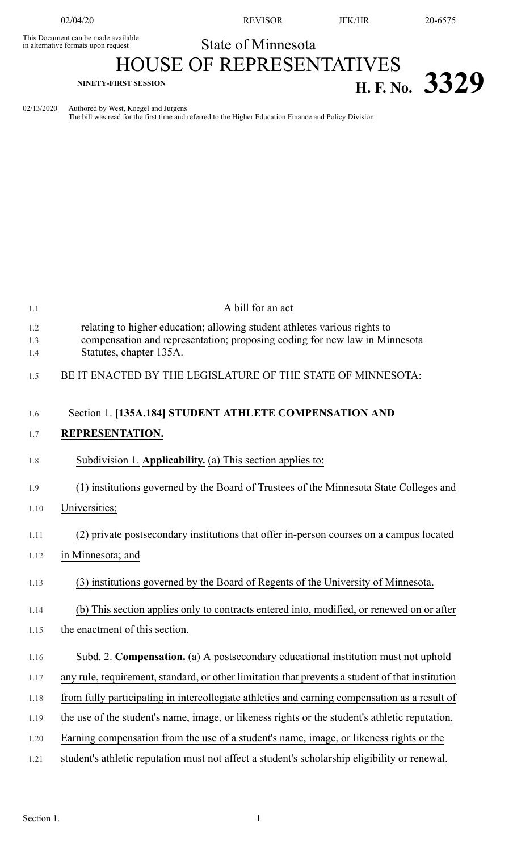This Document can be made available<br>in alternative formats upon request

02/04/20 REVISOR JFK/HR 20-6575

## State of Minnesota HOUSE OF REPRESENTATIVES **NINETY-FIRST SESSION H. F. No.**  $3329$

02/13/2020 Authored by West, Koegel and Jurgens

The bill was read for the first time and referred to the Higher Education Finance and Policy Division

| 1.1               | A bill for an act                                                                                                                                                                  |
|-------------------|------------------------------------------------------------------------------------------------------------------------------------------------------------------------------------|
| 1.2<br>1.3<br>1.4 | relating to higher education; allowing student athletes various rights to<br>compensation and representation; proposing coding for new law in Minnesota<br>Statutes, chapter 135A. |
| 1.5               | BE IT ENACTED BY THE LEGISLATURE OF THE STATE OF MINNESOTA:                                                                                                                        |
| 1.6               | Section 1. [135A.184] STUDENT ATHLETE COMPENSATION AND                                                                                                                             |
| 1.7               | REPRESENTATION.                                                                                                                                                                    |
| 1.8               | Subdivision 1. Applicability. (a) This section applies to:                                                                                                                         |
| 1.9               | (1) institutions governed by the Board of Trustees of the Minnesota State Colleges and                                                                                             |
| 1.10              | Universities;                                                                                                                                                                      |
| 1.11              | (2) private postsecondary institutions that offer in-person courses on a campus located                                                                                            |
| 1.12              | in Minnesota; and                                                                                                                                                                  |
| 1.13              | (3) institutions governed by the Board of Regents of the University of Minnesota.                                                                                                  |
| 1.14              | (b) This section applies only to contracts entered into, modified, or renewed on or after                                                                                          |
| 1.15              | the enactment of this section.                                                                                                                                                     |
| 1.16              | Subd. 2. Compensation. (a) A postsecondary educational institution must not uphold                                                                                                 |
| 1.17              | any rule, requirement, standard, or other limitation that prevents a student of that institution                                                                                   |
| 1.18              | from fully participating in intercollegiate athletics and earning compensation as a result of                                                                                      |
| 1.19              | the use of the student's name, image, or likeness rights or the student's athletic reputation.                                                                                     |
| 1.20              | Earning compensation from the use of a student's name, image, or likeness rights or the                                                                                            |
| 1.21              | student's athletic reputation must not affect a student's scholarship eligibility or renewal.                                                                                      |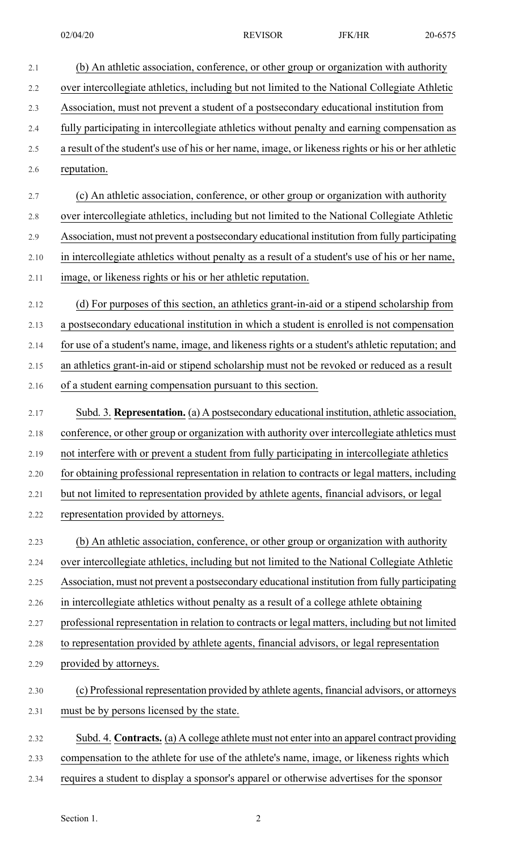2.2 over intercollegiate athletics, including but not limited to the National Collegiate Athletic

2.3 Association, must not prevent a student of a postsecondary educational institution from

2.4 fully participating in intercollegiate athletics without penalty and earning compensation as

- 2.5 a result of the student's use of his or her name, image, or likeness rights or his or her athletic
- 2.6 reputation.

2.7 (c) An athletic association, conference, or other group or organization with authority

2.8 over intercollegiate athletics, including but not limited to the National Collegiate Athletic

2.9 Association, must not prevent a postsecondary educational institution from fully participating

- 2.10 in intercollegiate athletics without penalty as a result of a student's use of his or her name,
- 2.11 image, or likeness rights or his or her athletic reputation.
- 2.12 (d) For purposes of this section, an athletics grant-in-aid or a stipend scholarship from 2.13 a postsecondary educational institution in which a student is enrolled is not compensation 2.14 for use of a student's name, image, and likeness rights or a student's athletic reputation; and

2.15 an athletics grant-in-aid or stipend scholarship must not be revoked or reduced as a result

2.16 of a student earning compensation pursuant to this section.

- 2.17 Subd. 3. **Representation.** (a) A postsecondary educational institution, athletic association, 2.18 conference, or other group or organization with authority over intercollegiate athletics must 2.19 not interfere with or prevent a student from fully participating in intercollegiate athletics 2.20 for obtaining professional representation in relation to contracts or legal matters, including 2.21 but not limited to representation provided by athlete agents, financial advisors, or legal 2.22 representation provided by attorneys.
- 2.23 (b) An athletic association, conference, or other group or organization with authority 2.24 over intercollegiate athletics, including but not limited to the National Collegiate Athletic 2.25 Association, must not prevent a postsecondary educational institution from fully participating
- 2.26 in intercollegiate athletics without penalty as a result of a college athlete obtaining

2.27 professional representation in relation to contracts or legal matters, including but not limited

- 2.28 to representation provided by athlete agents, financial advisors, or legal representation
- 2.29 provided by attorneys.
- 2.30 (c) Professional representation provided by athlete agents, financial advisors, or attorneys 2.31 must be by persons licensed by the state.
- 2.32 Subd. 4. **Contracts.** (a) A college athlete must not enter into an apparel contract providing
- 2.33 compensation to the athlete for use of the athlete's name, image, or likeness rights which
- 2.34 requires a student to display a sponsor's apparel or otherwise advertises for the sponsor